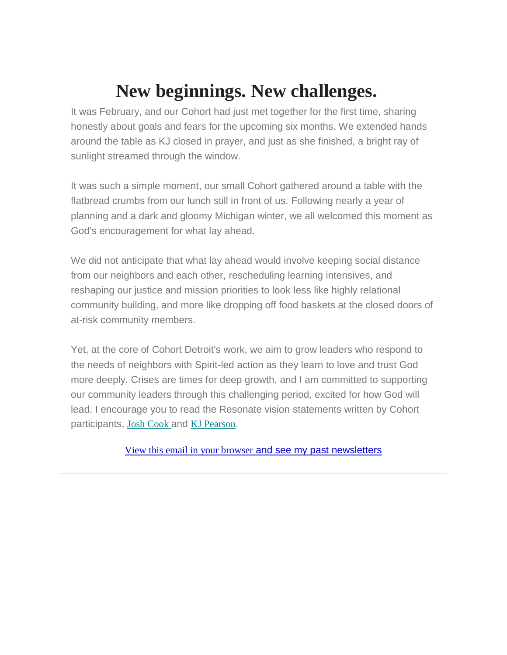## **New beginnings. New challenges.**

It was February, and our Cohort had just met together for the first time, sharing honestly about goals and fears for the upcoming six months. We extended hands around the table as KJ closed in prayer, and just as she finished, a bright ray of sunlight streamed through the window.

It was such a simple moment, our small Cohort gathered around a table with the flatbread crumbs from our lunch still in front of us. Following nearly a year of planning and a dark and gloomy Michigan winter, we all welcomed this moment as God's encouragement for what lay ahead.

We did not anticipate that what lay ahead would involve keeping social distance from our neighbors and each other, rescheduling learning intensives, and reshaping our justice and mission priorities to look less like highly relational community building, and more like dropping off food baskets at the closed doors of at-risk community members.

Yet, at the core of Cohort Detroit's work, we aim to grow leaders who respond to the needs of neighbors with Spirit-led action as they learn to love and trust God more deeply. Crises are times for deep growth, and I am committed to supporting our community leaders through this challenging period, excited for how God will lead. I encourage you to read the Resonate vision statements written by Cohort participants, Josh [Cook](https://nam11.safelinks.protection.outlook.com/?url=https%3A%2F%2Fresonateglobalmission.us9.list-manage.com%2Ftrack%2Fclick%3Fu%3D4690171b22d7a44aa4f860a7a%26id%3Db1dff566a9%26e%3D636b6792f8&data=02%7C01%7C%7Cba6a716e25d64ccc98d408d7d255d601%7C84df9e7fe9f640afb435aaaaaaaaaaaa%7C1%7C0%7C637209138407776948&sdata=H49cGJqD%2B6PrLt%2ByAibROITX02IJBKVwrF3nUgwLJA0%3D&reserved=0) and KJ [Pearson](https://nam11.safelinks.protection.outlook.com/?url=https%3A%2F%2Fresonateglobalmission.us9.list-manage.com%2Ftrack%2Fclick%3Fu%3D4690171b22d7a44aa4f860a7a%26id%3D4d9c109d19%26e%3D636b6792f8&data=02%7C01%7C%7Cba6a716e25d64ccc98d408d7d255d601%7C84df9e7fe9f640afb435aaaaaaaaaaaa%7C1%7C0%7C637209138407786944&sdata=mZlzbdyFuzZmckVqn5RUCfPRPce4TIwZ4MV15iGj%2Bts%3D&reserved=0).

View this email in your [browser](https://nam11.safelinks.protection.outlook.com/?url=https%3A%2F%2Fmailchi.mp%2F893ed056cde6%2Fnew-beginnings-new-challenges-and-a-pandemic%3Fe%3D636b6792f8&data=02%7C01%7C%7Cba6a716e25d64ccc98d408d7d255d601%7C84df9e7fe9f640afb435aaaaaaaaaaaa%7C1%7C0%7C637209138407786944&sdata=vbqz4csWRPRRRTjHvYdH1ZHiw1im8eIxez5JgIhcXF0%3D&reserved=0) and see my past newsletters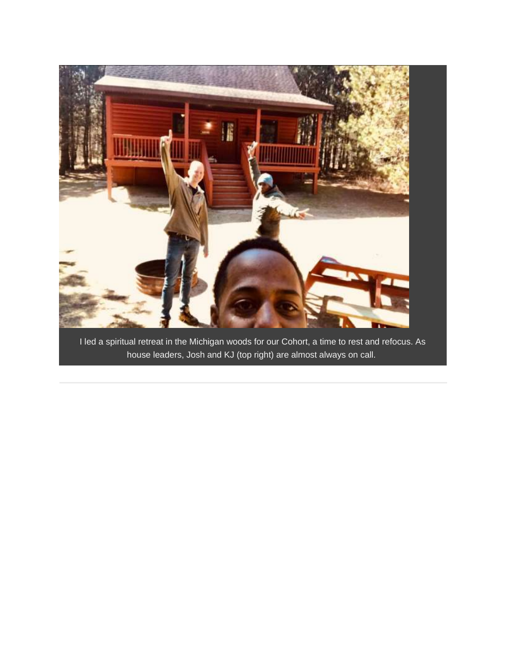

I led a spiritual retreat in the Michigan woods for our Cohort, a time to rest and refocus. As house leaders, Josh and KJ (top right) are almost always on call.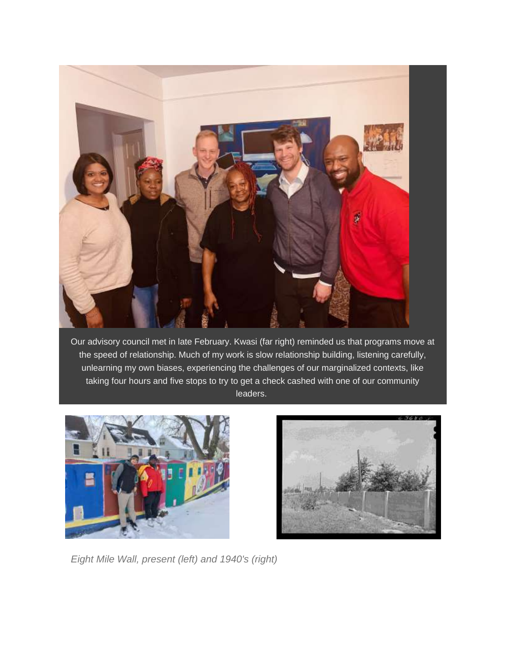

Our advisory council met in late February. Kwasi (far right) reminded us that programs move at the speed of relationship. Much of my work is slow relationship building, listening carefully, unlearning my own biases, experiencing the challenges of our marginalized contexts, like taking four hours and five stops to try to get a check cashed with one of our community leaders.





*Eight Mile Wall, present (left) and 1940's (right)*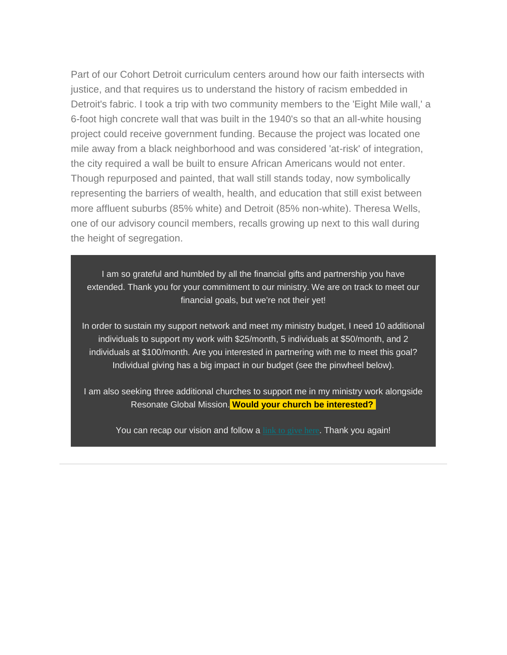Part of our Cohort Detroit curriculum centers around how our faith intersects with justice, and that requires us to understand the history of racism embedded in Detroit's fabric. I took a trip with two community members to the 'Eight Mile wall,' a 6-foot high concrete wall that was built in the 1940's so that an all-white housing project could receive government funding. Because the project was located one mile away from a black neighborhood and was considered 'at-risk' of integration, the city required a wall be built to ensure African Americans would not enter. Though repurposed and painted, that wall still stands today, now symbolically representing the barriers of wealth, health, and education that still exist between more affluent suburbs (85% white) and Detroit (85% non-white). Theresa Wells, one of our advisory council members, recalls growing up next to this wall during the height of segregation.

I am so grateful and humbled by all the financial gifts and partnership you have extended. Thank you for your commitment to our ministry. We are on track to meet our financial goals, but we're not their yet!

In order to sustain my support network and meet my ministry budget, I need 10 additional individuals to support my work with \$25/month, 5 individuals at \$50/month, and 2 individuals at \$100/month. Are you interested in partnering with me to meet this goal? Individual giving has a big impact in our budget (see the pinwheel below).

I am also seeking three additional churches to support me in my ministry work alongside Resonate Global Mission. **Would your church be interested?**

You can recap our vision and follow a **link to [give](https://nam11.safelinks.protection.outlook.com/?url=https%3A%2F%2Fresonateglobalmission.us9.list-manage.com%2Ftrack%2Fclick%3Fu%3D4690171b22d7a44aa4f860a7a%26id%3D7821a197f0%26e%3D636b6792f8&data=02%7C01%7C%7Cba6a716e25d64ccc98d408d7d255d601%7C84df9e7fe9f640afb435aaaaaaaaaaaa%7C1%7C0%7C637209138407796938&sdata=4Tuf%2FJESuv93kSHpzA06dsf%2B2E5MhcZZfgIzPVUB6zg%3D&reserved=0) here**. Thank you again!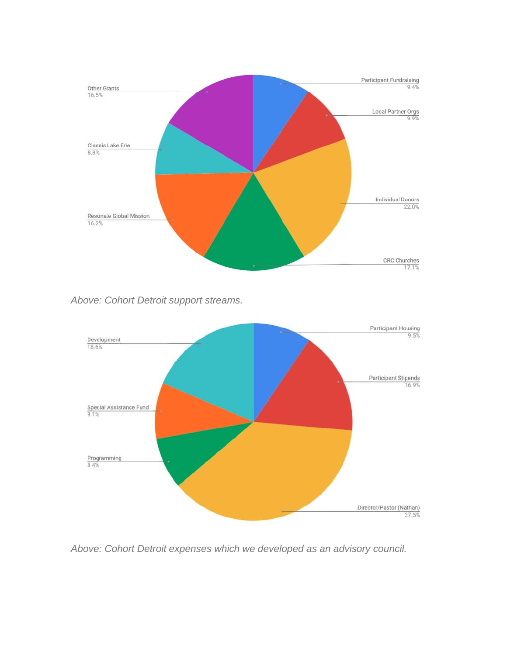

*Above: Cohort Detroit support streams.*



*Above: Cohort Detroit expenses which we developed as an advisory council.*